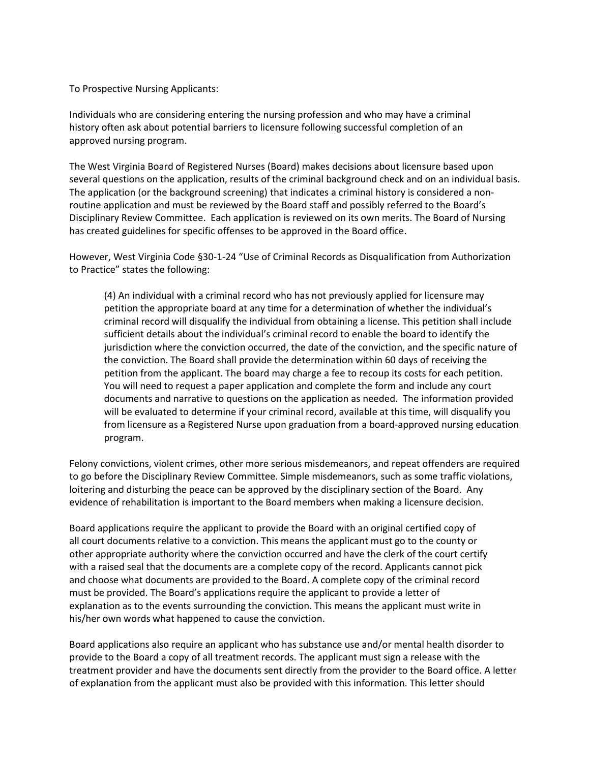To Prospective Nursing Applicants:

Individuals who are considering entering the nursing profession and who may have a criminal history often ask about potential barriers to licensure following successful completion of an approved nursing program.

The West Virginia Board of Registered Nurses (Board) makes decisions about licensure based upon several questions on the application, results of the criminal background check and on an individual basis. The application (or the background screening) that indicates a criminal history is considered a nonroutine application and must be reviewed by the Board staff and possibly referred to the Board's Disciplinary Review Committee. Each application is reviewed on its own merits. The Board of Nursing has created guidelines for specific offenses to be approved in the Board office.

However, West Virginia Code §30-1-24 "Use of Criminal Records as Disqualification from Authorization to Practice" states the following:

(4) An individual with a criminal record who has not previously applied for licensure may petition the appropriate board at any time for a determination of whether the individual's criminal record will disqualify the individual from obtaining a license. This petition shall include sufficient details about the individual's criminal record to enable the board to identify the jurisdiction where the conviction occurred, the date of the conviction, and the specific nature of the conviction. The Board shall provide the determination within 60 days of receiving the petition from the applicant. The board may charge a fee to recoup its costs for each petition. You will need to request a paper application and complete the form and include any court documents and narrative to questions on the application as needed. The information provided will be evaluated to determine if your criminal record, available at this time, will disqualify you from licensure as a Registered Nurse upon graduation from a board-approved nursing education program.

Felony convictions, violent crimes, other more serious misdemeanors, and repeat offenders are required to go before the Disciplinary Review Committee. Simple misdemeanors, such as some traffic violations, loitering and disturbing the peace can be approved by the disciplinary section of the Board. Any evidence of rehabilitation is important to the Board members when making a licensure decision.

Board applications require the applicant to provide the Board with an original certified copy of all court documents relative to a conviction. This means the applicant must go to the county or other appropriate authority where the conviction occurred and have the clerk of the court certify with a raised seal that the documents are a complete copy of the record. Applicants cannot pick and choose what documents are provided to the Board. A complete copy of the criminal record must be provided. The Board's applications require the applicant to provide a letter of explanation as to the events surrounding the conviction. This means the applicant must write in his/her own words what happened to cause the conviction.

Board applications also require an applicant who has substance use and/or mental health disorder to provide to the Board a copy of all treatment records. The applicant must sign a release with the treatment provider and have the documents sent directly from the provider to the Board office. A letter of explanation from the applicant must also be provided with this information. This letter should